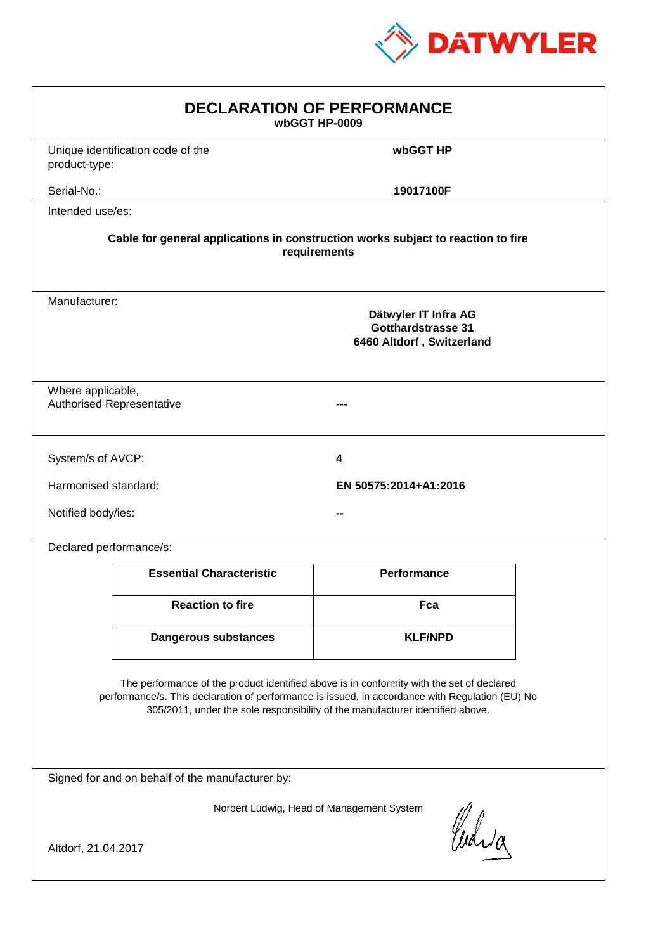

| <b>DECLARATION OF PERFORMANCE</b><br>wbGGT HP-0009                                                                                                                                                                                                                            |                                                                                          |                    |  |  |  |
|-------------------------------------------------------------------------------------------------------------------------------------------------------------------------------------------------------------------------------------------------------------------------------|------------------------------------------------------------------------------------------|--------------------|--|--|--|
| product-type:                                                                                                                                                                                                                                                                 | Unique identification code of the                                                        | wbGGT HP           |  |  |  |
| Serial-No.:                                                                                                                                                                                                                                                                   |                                                                                          | 19017100F          |  |  |  |
| Intended use/es:                                                                                                                                                                                                                                                              |                                                                                          |                    |  |  |  |
| Cable for general applications in construction works subject to reaction to fire<br>requirements                                                                                                                                                                              |                                                                                          |                    |  |  |  |
|                                                                                                                                                                                                                                                                               | Manufacturer:<br>Dätwyler IT Infra AG<br>Gotthardstrasse 31<br>6460 Altdorf, Switzerland |                    |  |  |  |
|                                                                                                                                                                                                                                                                               | Where applicable,<br><b>Authorised Representative</b>                                    |                    |  |  |  |
| System/s of AVCP:                                                                                                                                                                                                                                                             |                                                                                          | 4                  |  |  |  |
| Harmonised standard:<br>EN 50575:2014+A1:2016                                                                                                                                                                                                                                 |                                                                                          |                    |  |  |  |
| Notified body/ies:                                                                                                                                                                                                                                                            |                                                                                          |                    |  |  |  |
| Declared performance/s:                                                                                                                                                                                                                                                       |                                                                                          |                    |  |  |  |
|                                                                                                                                                                                                                                                                               | <b>Essential Characteristic</b>                                                          | <b>Performance</b> |  |  |  |
|                                                                                                                                                                                                                                                                               | <b>Reaction to fire</b>                                                                  | Fca                |  |  |  |
|                                                                                                                                                                                                                                                                               | <b>Dangerous substances</b>                                                              | <b>KLF/NPD</b>     |  |  |  |
| The performance of the product identified above is in conformity with the set of declared<br>performance/s. This declaration of performance is issued, in accordance with Regulation (EU) No<br>305/2011, under the sole responsibility of the manufacturer identified above. |                                                                                          |                    |  |  |  |
| Signed for and on behalf of the manufacturer by:                                                                                                                                                                                                                              |                                                                                          |                    |  |  |  |
| Norbert Ludwig, Head of Management System<br>Curia<br>Altdorf, 21.04.2017                                                                                                                                                                                                     |                                                                                          |                    |  |  |  |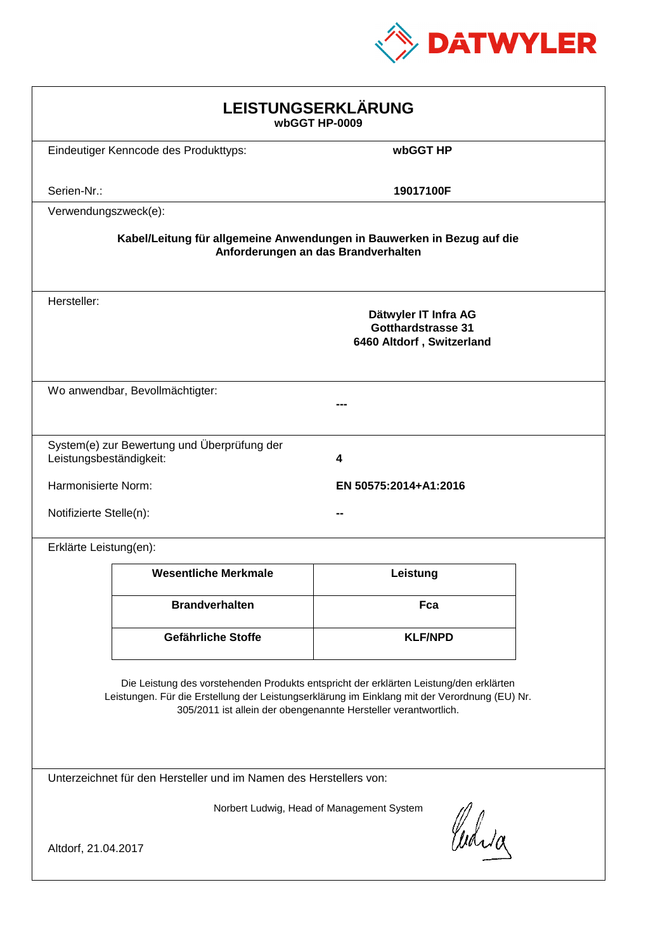

| LEISTUNGSERKLÄRUNG<br>wbGGT HP-0009                                                                                                                                                                                                                        |                                                                                |                |  |  |
|------------------------------------------------------------------------------------------------------------------------------------------------------------------------------------------------------------------------------------------------------------|--------------------------------------------------------------------------------|----------------|--|--|
|                                                                                                                                                                                                                                                            | Eindeutiger Kenncode des Produkttyps:                                          | wbGGT HP       |  |  |
| Serien-Nr.:                                                                                                                                                                                                                                                |                                                                                | 19017100F      |  |  |
| Verwendungszweck(e):                                                                                                                                                                                                                                       |                                                                                |                |  |  |
| Kabel/Leitung für allgemeine Anwendungen in Bauwerken in Bezug auf die<br>Anforderungen an das Brandverhalten                                                                                                                                              |                                                                                |                |  |  |
| Hersteller:                                                                                                                                                                                                                                                | Dätwyler IT Infra AG<br><b>Gotthardstrasse 31</b><br>6460 Altdorf, Switzerland |                |  |  |
|                                                                                                                                                                                                                                                            | Wo anwendbar, Bevollmächtigter:                                                |                |  |  |
| Leistungsbeständigkeit:                                                                                                                                                                                                                                    | System(e) zur Bewertung und Überprüfung der                                    | 4              |  |  |
|                                                                                                                                                                                                                                                            | Harmonisierte Norm:<br>EN 50575:2014+A1:2016                                   |                |  |  |
|                                                                                                                                                                                                                                                            | Notifizierte Stelle(n):                                                        |                |  |  |
| Erklärte Leistung(en):                                                                                                                                                                                                                                     |                                                                                |                |  |  |
|                                                                                                                                                                                                                                                            | <b>Wesentliche Merkmale</b>                                                    | Leistung       |  |  |
|                                                                                                                                                                                                                                                            | <b>Brandverhalten</b>                                                          | Fca            |  |  |
|                                                                                                                                                                                                                                                            | Gefährliche Stoffe                                                             | <b>KLF/NPD</b> |  |  |
| Die Leistung des vorstehenden Produkts entspricht der erklärten Leistung/den erklärten<br>Leistungen. Für die Erstellung der Leistungserklärung im Einklang mit der Verordnung (EU) Nr.<br>305/2011 ist allein der obengenannte Hersteller verantwortlich. |                                                                                |                |  |  |
| Unterzeichnet für den Hersteller und im Namen des Herstellers von:                                                                                                                                                                                         |                                                                                |                |  |  |
| Norbert Ludwig, Head of Management System<br>Curia                                                                                                                                                                                                         |                                                                                |                |  |  |
| Altdorf, 21.04.2017                                                                                                                                                                                                                                        |                                                                                |                |  |  |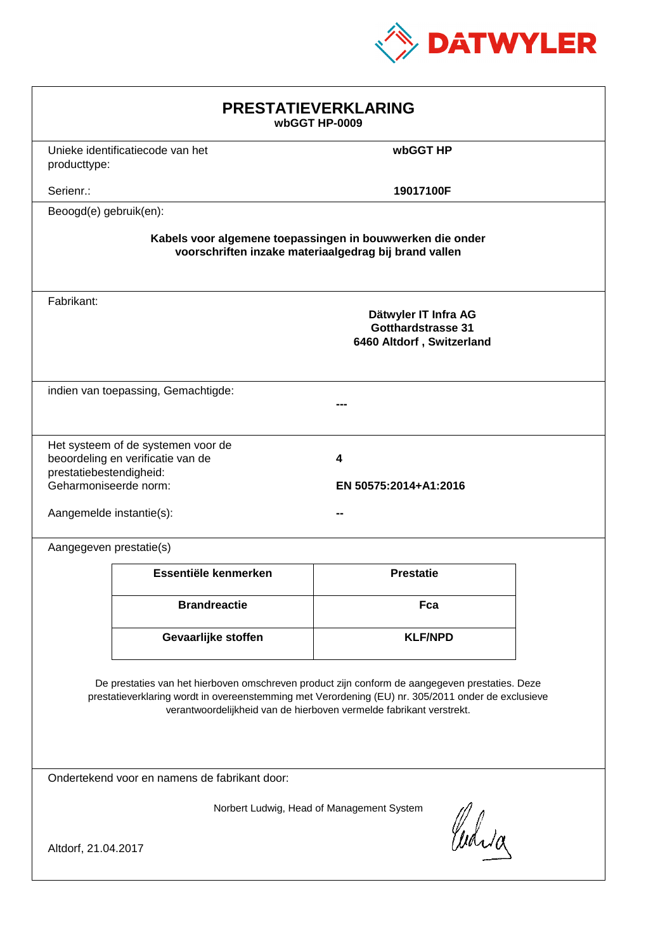

| <b>PRESTATIEVERKLARING</b><br>wbGGT HP-0009                                                                                                                                                                                                                                 |                                                                         |                                                                                |  |  |
|-----------------------------------------------------------------------------------------------------------------------------------------------------------------------------------------------------------------------------------------------------------------------------|-------------------------------------------------------------------------|--------------------------------------------------------------------------------|--|--|
| producttype:                                                                                                                                                                                                                                                                | Unieke identificatiecode van het                                        | wbGGT HP                                                                       |  |  |
| Serienr.:                                                                                                                                                                                                                                                                   |                                                                         | 19017100F                                                                      |  |  |
| Beoogd(e) gebruik(en):                                                                                                                                                                                                                                                      |                                                                         |                                                                                |  |  |
| Kabels voor algemene toepassingen in bouwwerken die onder<br>voorschriften inzake materiaalgedrag bij brand vallen                                                                                                                                                          |                                                                         |                                                                                |  |  |
| Fabrikant:                                                                                                                                                                                                                                                                  |                                                                         | Dätwyler IT Infra AG<br><b>Gotthardstrasse 31</b><br>6460 Altdorf, Switzerland |  |  |
|                                                                                                                                                                                                                                                                             | indien van toepassing, Gemachtigde:                                     |                                                                                |  |  |
| prestatiebestendigheid:<br>Geharmoniseerde norm:<br>Aangemelde instantie(s):                                                                                                                                                                                                | Het systeem of de systemen voor de<br>beoordeling en verificatie van de | 4<br>EN 50575:2014+A1:2016                                                     |  |  |
| Aangegeven prestatie(s)                                                                                                                                                                                                                                                     |                                                                         |                                                                                |  |  |
|                                                                                                                                                                                                                                                                             | Essentiële kenmerken                                                    | <b>Prestatie</b>                                                               |  |  |
|                                                                                                                                                                                                                                                                             | <b>Brandreactie</b>                                                     | Fca                                                                            |  |  |
|                                                                                                                                                                                                                                                                             | Gevaarlijke stoffen                                                     | <b>KLF/NPD</b>                                                                 |  |  |
| De prestaties van het hierboven omschreven product zijn conform de aangegeven prestaties. Deze<br>prestatieverklaring wordt in overeenstemming met Verordening (EU) nr. 305/2011 onder de exclusieve<br>verantwoordelijkheid van de hierboven vermelde fabrikant verstrekt. |                                                                         |                                                                                |  |  |
| Ondertekend voor en namens de fabrikant door:                                                                                                                                                                                                                               |                                                                         |                                                                                |  |  |
| Norbert Ludwig, Head of Management System<br>Curia<br>Altdorf, 21.04.2017                                                                                                                                                                                                   |                                                                         |                                                                                |  |  |
|                                                                                                                                                                                                                                                                             |                                                                         |                                                                                |  |  |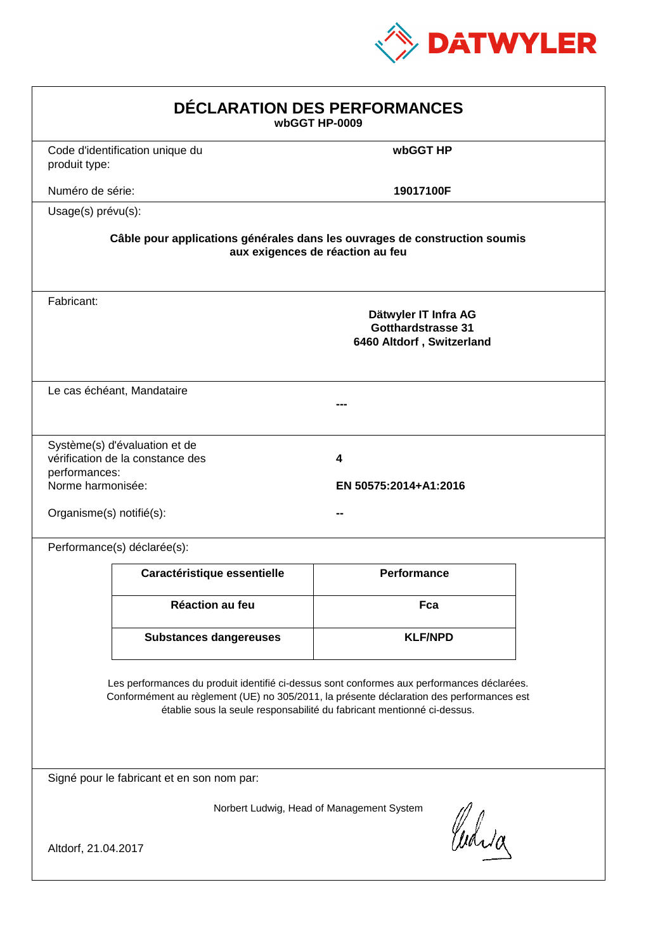

| DÉCLARATION DES PERFORMANCES<br>wbGGT HP-0009                                                                                                                                                                                                                    |                                                                                                                |                                                                                |  |  |  |
|------------------------------------------------------------------------------------------------------------------------------------------------------------------------------------------------------------------------------------------------------------------|----------------------------------------------------------------------------------------------------------------|--------------------------------------------------------------------------------|--|--|--|
| produit type:                                                                                                                                                                                                                                                    | Code d'identification unique du                                                                                | wbGGT HP                                                                       |  |  |  |
| Numéro de série:                                                                                                                                                                                                                                                 |                                                                                                                | 19017100F                                                                      |  |  |  |
| Usage(s) prévu(s):                                                                                                                                                                                                                                               |                                                                                                                |                                                                                |  |  |  |
|                                                                                                                                                                                                                                                                  | Câble pour applications générales dans les ouvrages de construction soumis<br>aux exigences de réaction au feu |                                                                                |  |  |  |
| Fabricant:                                                                                                                                                                                                                                                       |                                                                                                                | Dätwyler IT Infra AG<br><b>Gotthardstrasse 31</b><br>6460 Altdorf, Switzerland |  |  |  |
|                                                                                                                                                                                                                                                                  | Le cas échéant, Mandataire                                                                                     |                                                                                |  |  |  |
| performances:<br>Norme harmonisée:<br>Organisme(s) notifié(s):                                                                                                                                                                                                   | Système(s) d'évaluation et de<br>vérification de la constance des                                              | 4<br>EN 50575:2014+A1:2016                                                     |  |  |  |
|                                                                                                                                                                                                                                                                  | Performance(s) déclarée(s):                                                                                    |                                                                                |  |  |  |
|                                                                                                                                                                                                                                                                  | Caractéristique essentielle                                                                                    | <b>Performance</b>                                                             |  |  |  |
|                                                                                                                                                                                                                                                                  | Réaction au feu                                                                                                | Fca                                                                            |  |  |  |
|                                                                                                                                                                                                                                                                  | <b>Substances dangereuses</b>                                                                                  | <b>KLF/NPD</b>                                                                 |  |  |  |
| Les performances du produit identifié ci-dessus sont conformes aux performances déclarées.<br>Conformément au règlement (UE) no 305/2011, la présente déclaration des performances est<br>établie sous la seule responsabilité du fabricant mentionné ci-dessus. |                                                                                                                |                                                                                |  |  |  |
|                                                                                                                                                                                                                                                                  | Signé pour le fabricant et en son nom par:                                                                     |                                                                                |  |  |  |
| Norbert Ludwig, Head of Management System<br>Curia<br>Altdorf, 21.04.2017                                                                                                                                                                                        |                                                                                                                |                                                                                |  |  |  |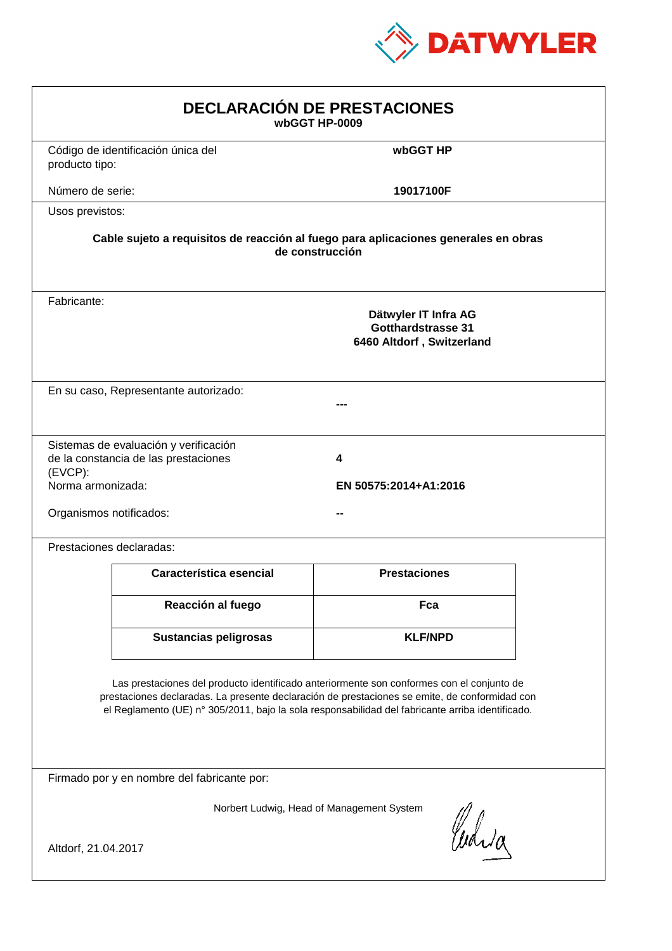

| <b>DECLARACIÓN DE PRESTACIONES</b><br>wbGGT HP-0009                                                                                                                                                                                                                                            |                                                                         |                     |  |  |
|------------------------------------------------------------------------------------------------------------------------------------------------------------------------------------------------------------------------------------------------------------------------------------------------|-------------------------------------------------------------------------|---------------------|--|--|
| producto tipo:                                                                                                                                                                                                                                                                                 | Código de identificación única del                                      | wbGGT HP            |  |  |
| Número de serie:                                                                                                                                                                                                                                                                               |                                                                         | 19017100F           |  |  |
| Usos previstos:                                                                                                                                                                                                                                                                                |                                                                         |                     |  |  |
| Cable sujeto a requisitos de reacción al fuego para aplicaciones generales en obras<br>de construcción                                                                                                                                                                                         |                                                                         |                     |  |  |
| Fabricante:                                                                                                                                                                                                                                                                                    | Dätwyler IT Infra AG<br>Gotthardstrasse 31<br>6460 Altdorf, Switzerland |                     |  |  |
|                                                                                                                                                                                                                                                                                                | En su caso, Representante autorizado:                                   |                     |  |  |
| Sistemas de evaluación y verificación<br>de la constancia de las prestaciones<br>4<br>$(EVCP)$ :<br>Norma armonizada:<br>EN 50575:2014+A1:2016<br>Organismos notificados:                                                                                                                      |                                                                         |                     |  |  |
|                                                                                                                                                                                                                                                                                                | Prestaciones declaradas:                                                |                     |  |  |
|                                                                                                                                                                                                                                                                                                | Característica esencial                                                 | <b>Prestaciones</b> |  |  |
|                                                                                                                                                                                                                                                                                                | Reacción al fuego                                                       | Fca                 |  |  |
|                                                                                                                                                                                                                                                                                                | <b>Sustancias peligrosas</b>                                            | <b>KLF/NPD</b>      |  |  |
| Las prestaciones del producto identificado anteriormente son conformes con el conjunto de<br>prestaciones declaradas. La presente declaración de prestaciones se emite, de conformidad con<br>el Reglamento (UE) nº 305/2011, bajo la sola responsabilidad del fabricante arriba identificado. |                                                                         |                     |  |  |
| Firmado por y en nombre del fabricante por:                                                                                                                                                                                                                                                    |                                                                         |                     |  |  |
| Norbert Ludwig, Head of Management System<br>anda<br>Altdorf, 21.04.2017                                                                                                                                                                                                                       |                                                                         |                     |  |  |